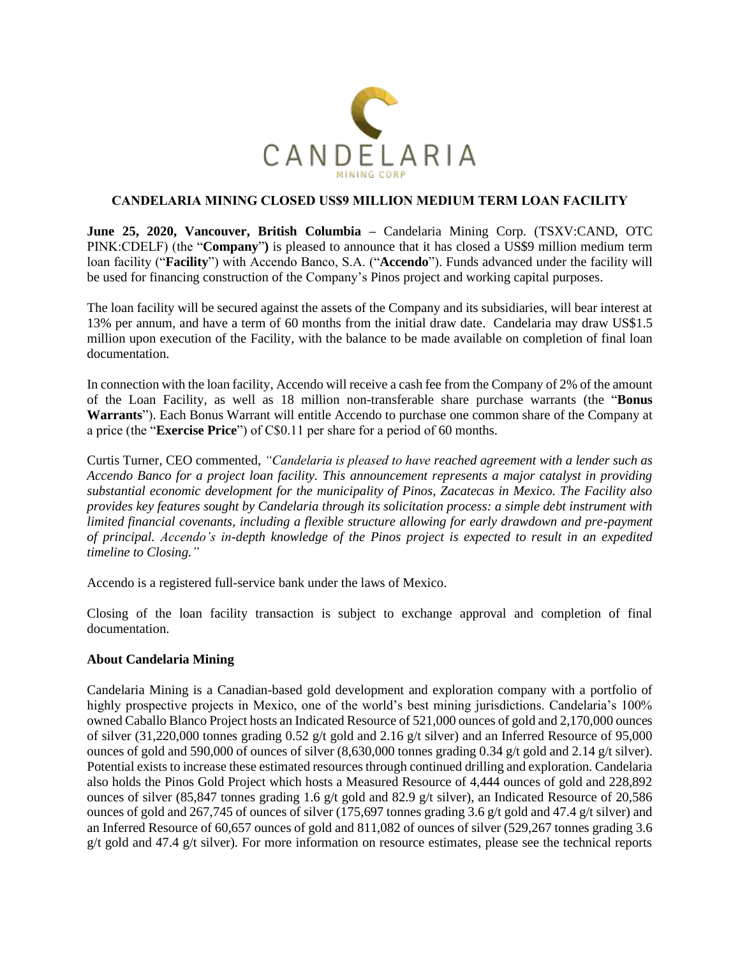

## **CANDELARIA MINING CLOSED US\$9 MILLION MEDIUM TERM LOAN FACILITY**

**June 25, 2020, Vancouver, British Columbia –** Candelaria Mining Corp. (TSXV:CAND, OTC PINK:CDELF) (the "**Company**"**)** is pleased to announce that it has closed a US\$9 million medium term loan facility ("**Facility**") with Accendo Banco, S.A. ("**Accendo**"). Funds advanced under the facility will be used for financing construction of the Company's Pinos project and working capital purposes.

The loan facility will be secured against the assets of the Company and its subsidiaries, will bear interest at 13% per annum, and have a term of 60 months from the initial draw date. Candelaria may draw US\$1.5 million upon execution of the Facility, with the balance to be made available on completion of final loan documentation.

In connection with the loan facility, Accendo will receive a cash fee from the Company of 2% of the amount of the Loan Facility, as well as 18 million non-transferable share purchase warrants (the "**Bonus Warrants**"). Each Bonus Warrant will entitle Accendo to purchase one common share of the Company at a price (the "**Exercise Price**") of C\$0.11 per share for a period of 60 months.

Curtis Turner, CEO commented, *"Candelaria is pleased to have reached agreement with a lender such as Accendo Banco for a project loan facility. This announcement represents a major catalyst in providing substantial economic development for the municipality of Pinos, Zacatecas in Mexico. The Facility also provides key features sought by Candelaria through its solicitation process: a simple debt instrument with limited financial covenants, including a flexible structure allowing for early drawdown and pre-payment of principal. Accendo's in-depth knowledge of the Pinos project is expected to result in an expedited timeline to Closing."*

Accendo is a registered full-service bank under the laws of Mexico.

Closing of the loan facility transaction is subject to exchange approval and completion of final documentation.

## **About Candelaria Mining**

Candelaria Mining is a Canadian-based gold development and exploration company with a portfolio of highly prospective projects in Mexico, one of the world's best mining jurisdictions. Candelaria's 100% owned Caballo Blanco Project hosts an Indicated Resource of 521,000 ounces of gold and 2,170,000 ounces of silver (31,220,000 tonnes grading 0.52 g/t gold and 2.16 g/t silver) and an Inferred Resource of 95,000 ounces of gold and 590,000 of ounces of silver (8,630,000 tonnes grading 0.34 g/t gold and 2.14 g/t silver). Potential exists to increase these estimated resources through continued drilling and exploration. Candelaria also holds the Pinos Gold Project which hosts a Measured Resource of 4,444 ounces of gold and 228,892 ounces of silver (85,847 tonnes grading 1.6 g/t gold and 82.9 g/t silver), an Indicated Resource of 20,586 ounces of gold and 267,745 of ounces of silver (175,697 tonnes grading 3.6 g/t gold and 47.4 g/t silver) and an Inferred Resource of 60,657 ounces of gold and 811,082 of ounces of silver (529,267 tonnes grading 3.6 g/t gold and 47.4 g/t silver). For more information on resource estimates, please see the technical reports